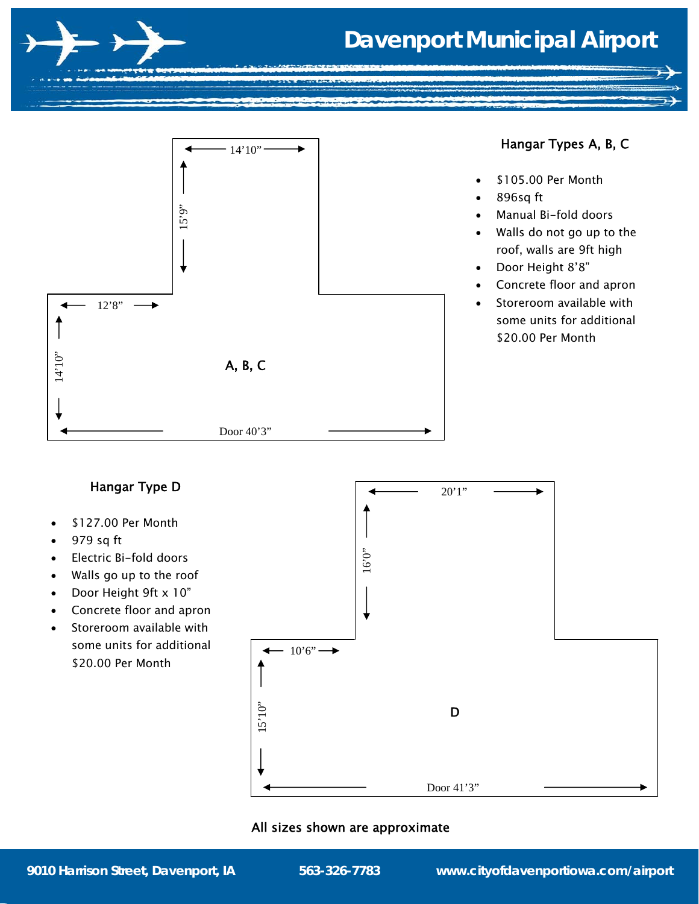# **Davenport Municipal Airport**



- Electric Bi-fold doors
- Walls go up to the roof
- Door Height 9ft x 10"
- Concrete floor and apron
- Storeroom available with some units for additional \$20.00 Per Month

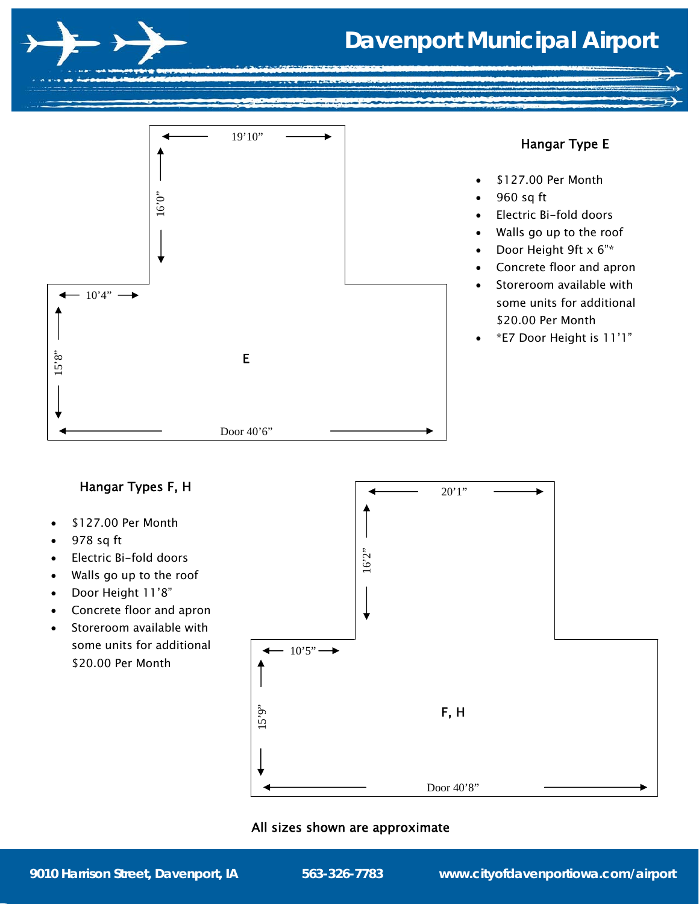



- \$127.00 Per Month
- 978 sq ft
- Electric Bi-fold doors
- Walls go up to the roof
- Door Height 11'8"
- Concrete floor and apron
- Storeroom available with some units for additional \$20.00 Per Month

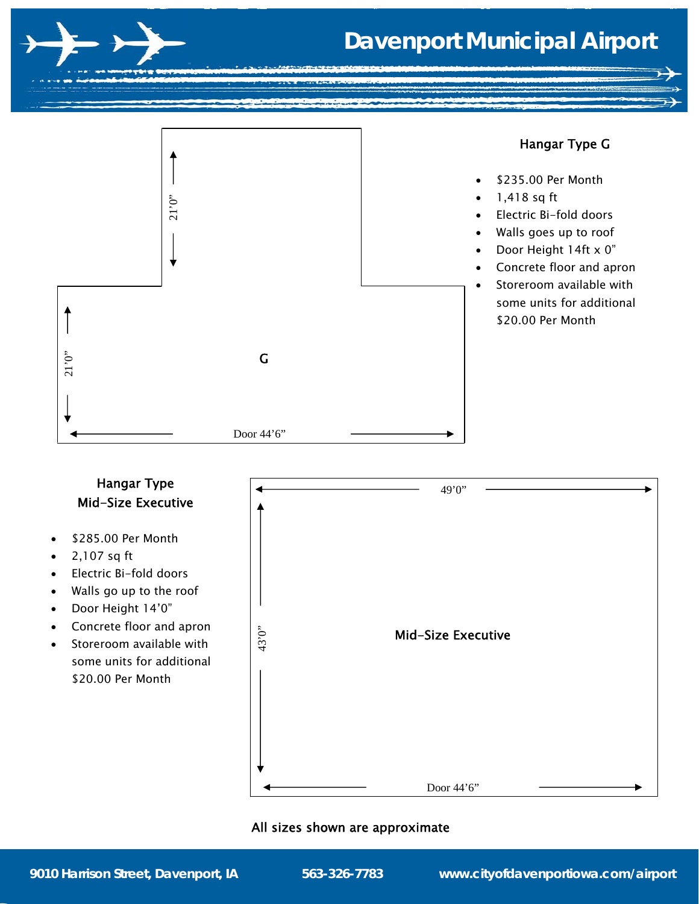

# **Davenport Municipal Airport**



# Hangar Type Mid-Size Executive

- \$285.00 Per Month
- $\bullet$  2,107 sq ft
- Electric Bi-fold doors
- Walls go up to the roof
- Door Height 14'0"
- Concrete floor and apron
- Storeroom available with some units for additional \$20.00 Per Month